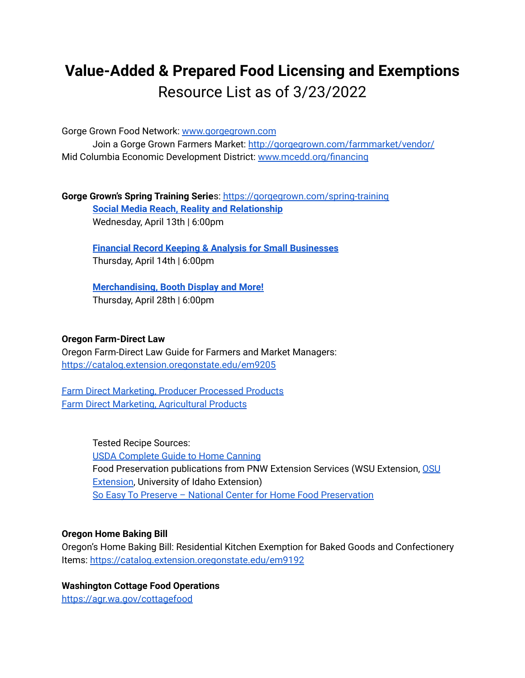# **Value-Added & Prepared Food Licensing and Exemptions** Resource List as of 3/23/2022

Gorge Grown Food Network: [www.gorgegrown.com](http://www.gorgegrown.com)

Join a Gorge Grown Farmers Market: <http://gorgegrown.com/farmmarket/vendor/> Mid Columbia Economic Development District: [www.mcedd.org/financing](http://www.mcedd.org/financing)

**Gorge Grown's Spring Training Serie**s: <https://gorgegrown.com/spring-training> **Social Media Reach, Reality and [Relationship](https://us06web.zoom.us/meeting/register/tZModuyupjsoHNy0-nD9jcr9BEPA-2BykOn9)** Wednesday, April 13th | 6:00pm

**Financial Record Keeping & Analysis for Small [Businesses](https://us06web.zoom.us/meeting/register/tZUqf-2qqjkuHdQja9_siI2b4DB_e6oGVYaI)** Thursday, April 14th | 6:00pm

**[Merchandising,](https://us06web.zoom.us/meeting/register/tZwrfuuorjkjH9YeyltJD-xH2rsnwPJVDljO) Booth Display and More!** Thursday, April 28th | 6:00pm

### **Oregon Farm-Direct Law**

Oregon Farm-Direct Law Guide for Farmers and Market Managers: <https://catalog.extension.oregonstate.edu/em9205>

Farm Direct Marketing, Producer [Processed](https://drive.google.com/file/d/1DAfv67YjF-9N_zm4_5NK6bDACCy--bqt/view?usp=sharing) Products Farm Direct Marketing, [Agricultural](https://drive.google.com/file/d/1LhHRm_bp99MwXx7Q-QbH7_6S7QkonXjG/view?usp=sharing) Products

> Tested Recipe Sources: USDA [Complete](https://nchfp.uga.edu/publications/publications_usda.html) Guide to Home Canning Food Preservation publications from PNW Extension Services (WSU Extension, [OSU](https://extension.oregonstate.edu/mfp/publications) [Extension,](https://extension.oregonstate.edu/mfp/publications) University of Idaho Extension) So Easy To Preserve – National Center for Home Food [Preservation](http://setp.uga.edu/)

#### **Oregon Home Baking Bill**

Oregon's Home Baking Bill: Residential Kitchen Exemption for Baked Goods and Confectionery Items: <https://catalog.extension.oregonstate.edu/em9192>

# **Washington Cottage Food Operations**

<https://agr.wa.gov/cottagefood>